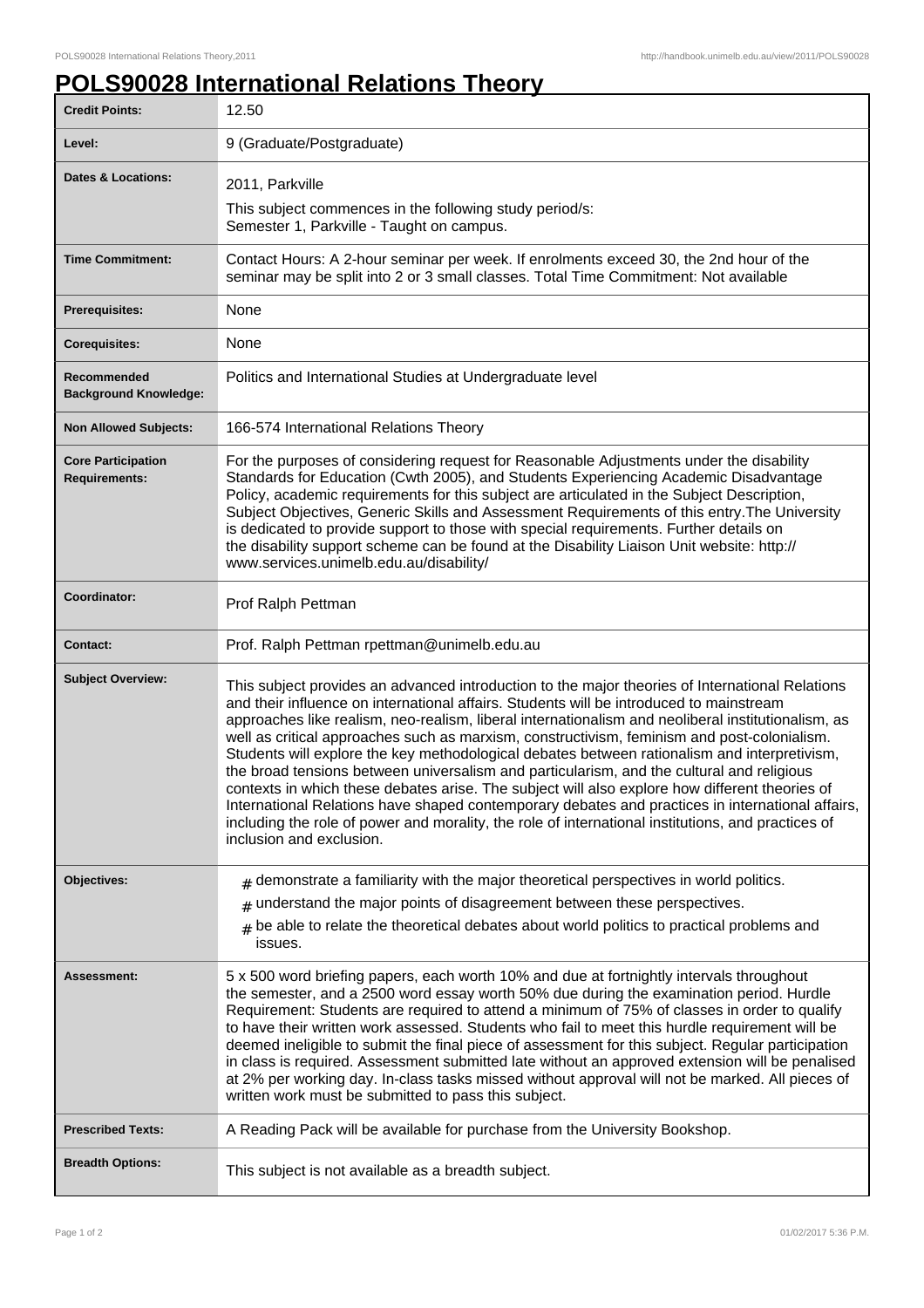## **POLS90028 International Relations Theory**

| <b>Credit Points:</b>                             | 12.50                                                                                                                                                                                                                                                                                                                                                                                                                                                                                                                                                                                                                                                                                                                                                                                                                                                                                                                                |
|---------------------------------------------------|--------------------------------------------------------------------------------------------------------------------------------------------------------------------------------------------------------------------------------------------------------------------------------------------------------------------------------------------------------------------------------------------------------------------------------------------------------------------------------------------------------------------------------------------------------------------------------------------------------------------------------------------------------------------------------------------------------------------------------------------------------------------------------------------------------------------------------------------------------------------------------------------------------------------------------------|
| Level:                                            | 9 (Graduate/Postgraduate)                                                                                                                                                                                                                                                                                                                                                                                                                                                                                                                                                                                                                                                                                                                                                                                                                                                                                                            |
| <b>Dates &amp; Locations:</b>                     | 2011, Parkville                                                                                                                                                                                                                                                                                                                                                                                                                                                                                                                                                                                                                                                                                                                                                                                                                                                                                                                      |
|                                                   | This subject commences in the following study period/s:<br>Semester 1, Parkville - Taught on campus.                                                                                                                                                                                                                                                                                                                                                                                                                                                                                                                                                                                                                                                                                                                                                                                                                                 |
| <b>Time Commitment:</b>                           | Contact Hours: A 2-hour seminar per week. If enrolments exceed 30, the 2nd hour of the<br>seminar may be split into 2 or 3 small classes. Total Time Commitment: Not available                                                                                                                                                                                                                                                                                                                                                                                                                                                                                                                                                                                                                                                                                                                                                       |
| Prerequisites:                                    | None                                                                                                                                                                                                                                                                                                                                                                                                                                                                                                                                                                                                                                                                                                                                                                                                                                                                                                                                 |
| <b>Corequisites:</b>                              | None                                                                                                                                                                                                                                                                                                                                                                                                                                                                                                                                                                                                                                                                                                                                                                                                                                                                                                                                 |
| Recommended<br><b>Background Knowledge:</b>       | Politics and International Studies at Undergraduate level                                                                                                                                                                                                                                                                                                                                                                                                                                                                                                                                                                                                                                                                                                                                                                                                                                                                            |
| <b>Non Allowed Subjects:</b>                      | 166-574 International Relations Theory                                                                                                                                                                                                                                                                                                                                                                                                                                                                                                                                                                                                                                                                                                                                                                                                                                                                                               |
| <b>Core Participation</b><br><b>Requirements:</b> | For the purposes of considering request for Reasonable Adjustments under the disability<br>Standards for Education (Cwth 2005), and Students Experiencing Academic Disadvantage<br>Policy, academic requirements for this subject are articulated in the Subject Description,<br>Subject Objectives, Generic Skills and Assessment Requirements of this entry. The University<br>is dedicated to provide support to those with special requirements. Further details on<br>the disability support scheme can be found at the Disability Liaison Unit website: http://<br>www.services.unimelb.edu.au/disability/                                                                                                                                                                                                                                                                                                                     |
| Coordinator:                                      | Prof Ralph Pettman                                                                                                                                                                                                                                                                                                                                                                                                                                                                                                                                                                                                                                                                                                                                                                                                                                                                                                                   |
| <b>Contact:</b>                                   | Prof. Ralph Pettman rpettman@unimelb.edu.au                                                                                                                                                                                                                                                                                                                                                                                                                                                                                                                                                                                                                                                                                                                                                                                                                                                                                          |
| <b>Subject Overview:</b>                          | This subject provides an advanced introduction to the major theories of International Relations<br>and their influence on international affairs. Students will be introduced to mainstream<br>approaches like realism, neo-realism, liberal internationalism and neoliberal institutionalism, as<br>well as critical approaches such as marxism, constructivism, feminism and post-colonialism.<br>Students will explore the key methodological debates between rationalism and interpretivism,<br>the broad tensions between universalism and particularism, and the cultural and religious<br>contexts in which these debates arise. The subject will also explore how different theories of<br>International Relations have shaped contemporary debates and practices in international affairs,<br>including the role of power and morality, the role of international institutions, and practices of<br>inclusion and exclusion. |
| Objectives:                                       | $#$ demonstrate a familiarity with the major theoretical perspectives in world politics.                                                                                                                                                                                                                                                                                                                                                                                                                                                                                                                                                                                                                                                                                                                                                                                                                                             |
|                                                   | understand the major points of disagreement between these perspectives.<br>#<br>be able to relate the theoretical debates about world politics to practical problems and<br>#<br>issues.                                                                                                                                                                                                                                                                                                                                                                                                                                                                                                                                                                                                                                                                                                                                             |
| Assessment:                                       | 5 x 500 word briefing papers, each worth 10% and due at fortnightly intervals throughout<br>the semester, and a 2500 word essay worth 50% due during the examination period. Hurdle<br>Requirement: Students are required to attend a minimum of 75% of classes in order to qualify<br>to have their written work assessed. Students who fail to meet this hurdle requirement will be<br>deemed ineligible to submit the final piece of assessment for this subject. Regular participation<br>in class is required. Assessment submitted late without an approved extension will be penalised<br>at 2% per working day. In-class tasks missed without approval will not be marked. All pieces of<br>written work must be submitted to pass this subject.                                                                                                                                                                             |
| <b>Prescribed Texts:</b>                          | A Reading Pack will be available for purchase from the University Bookshop.                                                                                                                                                                                                                                                                                                                                                                                                                                                                                                                                                                                                                                                                                                                                                                                                                                                          |
| <b>Breadth Options:</b>                           | This subject is not available as a breadth subject.                                                                                                                                                                                                                                                                                                                                                                                                                                                                                                                                                                                                                                                                                                                                                                                                                                                                                  |